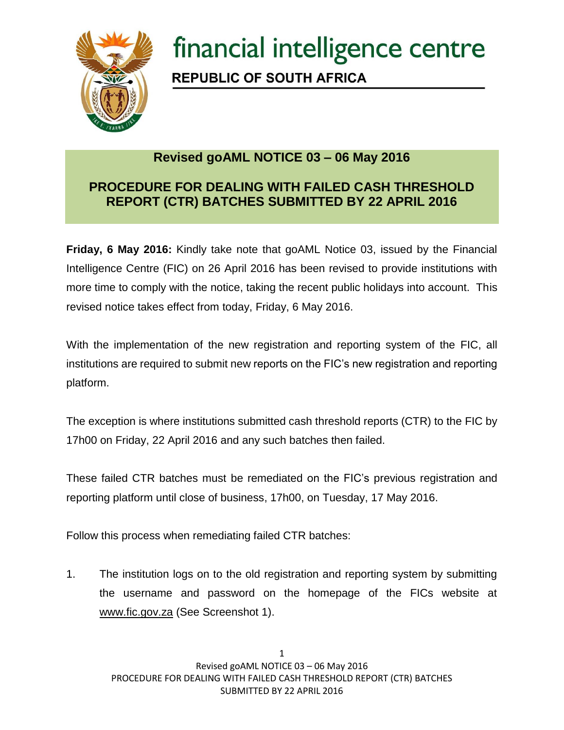

## financial intelligence centre **REPUBLIC OF SOUTH AFRICA**

## **Revised goAML NOTICE 03 – 06 May 2016**

## **PROCEDURE FOR DEALING WITH FAILED CASH THRESHOLD REPORT (CTR) BATCHES SUBMITTED BY 22 APRIL 2016**

**Friday, 6 May 2016:** Kindly take note that goAML Notice 03, issued by the Financial Intelligence Centre (FIC) on 26 April 2016 has been revised to provide institutions with more time to comply with the notice, taking the recent public holidays into account. This revised notice takes effect from today, Friday, 6 May 2016.

With the implementation of the new registration and reporting system of the FIC, all institutions are required to submit new reports on the FIC's new registration and reporting platform.

The exception is where institutions submitted cash threshold reports (CTR) to the FIC by 17h00 on Friday, 22 April 2016 and any such batches then failed.

These failed CTR batches must be remediated on the FIC's previous registration and reporting platform until close of business, 17h00, on Tuesday, 17 May 2016.

Follow this process when remediating failed CTR batches:

1. The institution logs on to the old registration and reporting system by submitting the username and password on the homepage of the FICs website at [www.fic.gov.za](http://www.fic.gov.za/) (See Screenshot 1).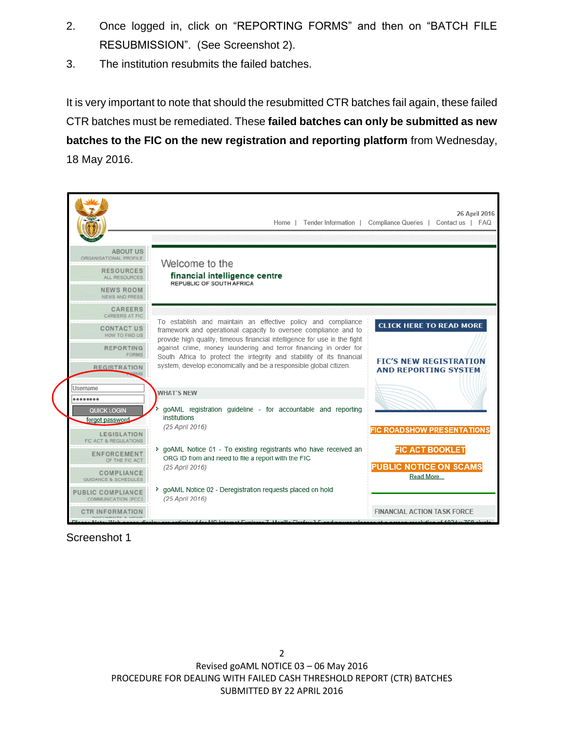- 2. Once logged in, click on "REPORTING FORMS" and then on "BATCH FILE RESUBMISSION". (See Screenshot 2).
- 3. The institution resubmits the failed batches.

It is very important to note that should the resubmitted CTR batches fail again, these failed CTR batches must be remediated. These **failed batches can only be submitted as new batches to the FIC on the new registration and reporting platform** from Wednesday, 18 May 2016.



Screenshot 1